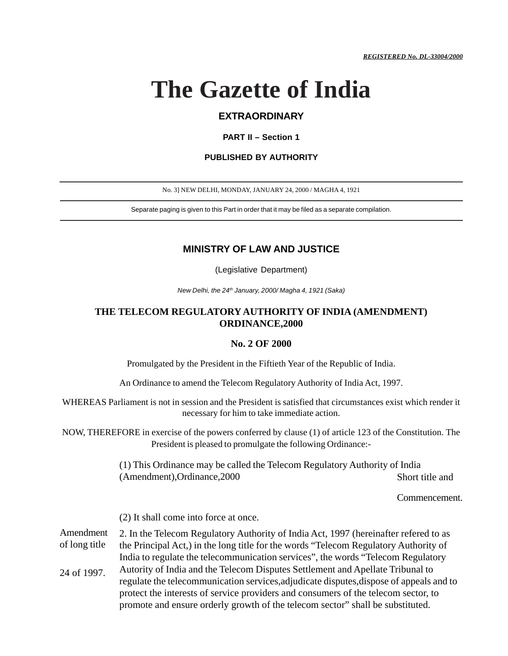# **The Gazette of India**

## **EXTRAORDINARY**

### **PART II – Section 1**

#### **PUBLISHED BY AUTHORITY**

No. 3] NEW DELHI, MONDAY, JANUARY 24, 2000 / MAGHA 4, 1921

Separate paging is given to this Part in order that it may be filed as a separate compilation.

## **MINISTRY OF LAW AND JUSTICE**

(Legislative Department)

New Delhi, the 24<sup>th</sup> January, 2000/ Magha 4, 1921 (Saka)

## **THE TELECOM REGULATORY AUTHORITY OF INDIA (AMENDMENT) ORDINANCE,2000**

### **No. 2 OF 2000**

Promulgated by the President in the Fiftieth Year of the Republic of India.

An Ordinance to amend the Telecom Regulatory Authority of India Act, 1997.

WHEREAS Parliament is not in session and the President is satisfied that circumstances exist which render it necessary for him to take immediate action.

NOW, THEREFORE in exercise of the powers conferred by clause (1) of article 123 of the Constitution. The President is pleased to promulgate the following Ordinance:-

> (1) This Ordinance may be called the Telecom Regulatory Authority of India (Amendment),Ordinance,2000 Short title and

> > Commencement.

(2) It shall come into force at once.

2. In the Telecom Regulatory Authority of India Act, 1997 (hereinafter refered to as the Principal Act,) in the long title for the words "Telecom Regulatory Authority of India to regulate the telecommunication services", the words "Telecom Regulatory Amendment of long title

Autority of India and the Telecom Disputes Settlement and Apellate Tribunal to regulate the telecommunication services,adjudicate disputes,dispose of appeals and to protect the interests of service providers and consumers of the telecom sector, to promote and ensure orderly growth of the telecom sector" shall be substituted. 24 of 1997.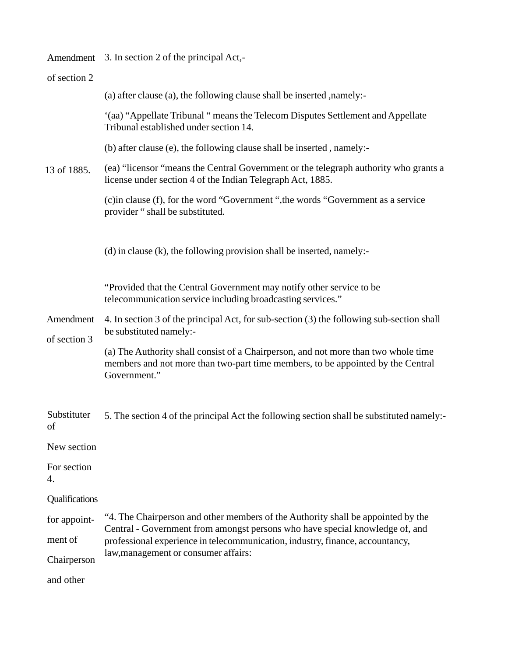|                           | Amendment 3. In section 2 of the principal Act,-                                                                                                                                                                                                                                          |  |  |
|---------------------------|-------------------------------------------------------------------------------------------------------------------------------------------------------------------------------------------------------------------------------------------------------------------------------------------|--|--|
| of section 2              |                                                                                                                                                                                                                                                                                           |  |  |
|                           | (a) after clause (a), the following clause shall be inserted , namely:-                                                                                                                                                                                                                   |  |  |
|                           | '(aa) "Appellate Tribunal " means the Telecom Disputes Settlement and Appellate<br>Tribunal established under section 14.                                                                                                                                                                 |  |  |
|                           | (b) after clause (e), the following clause shall be inserted, namely:-                                                                                                                                                                                                                    |  |  |
| 13 of 1885.               | (ea) "licensor "means the Central Government or the telegraph authority who grants a<br>license under section 4 of the Indian Telegraph Act, 1885.                                                                                                                                        |  |  |
|                           | (c) in clause (f), for the word "Government", the words "Government as a service<br>provider "shall be substituted.                                                                                                                                                                       |  |  |
|                           | $(d)$ in clause $(k)$ , the following provision shall be inserted, namely:-                                                                                                                                                                                                               |  |  |
|                           | "Provided that the Central Government may notify other service to be<br>telecommunication service including broadcasting services."                                                                                                                                                       |  |  |
| Amendment<br>of section 3 | 4. In section 3 of the principal Act, for sub-section (3) the following sub-section shall<br>be substituted namely:-                                                                                                                                                                      |  |  |
|                           | (a) The Authority shall consist of a Chairperson, and not more than two whole time<br>members and not more than two-part time members, to be appointed by the Central<br>Government."                                                                                                     |  |  |
| Substituter<br>of         | 5. The section 4 of the principal Act the following section shall be substituted namely:                                                                                                                                                                                                  |  |  |
| New section               |                                                                                                                                                                                                                                                                                           |  |  |
| For section<br>4.         |                                                                                                                                                                                                                                                                                           |  |  |
| Qualifications            |                                                                                                                                                                                                                                                                                           |  |  |
| for appoint-              | "4. The Chairperson and other members of the Authority shall be appointed by the<br>Central - Government from amongst persons who have special knowledge of, and<br>professional experience in telecommunication, industry, finance, accountancy,<br>law, management or consumer affairs: |  |  |
| ment of                   |                                                                                                                                                                                                                                                                                           |  |  |
| Chairperson               |                                                                                                                                                                                                                                                                                           |  |  |
| and other                 |                                                                                                                                                                                                                                                                                           |  |  |
|                           |                                                                                                                                                                                                                                                                                           |  |  |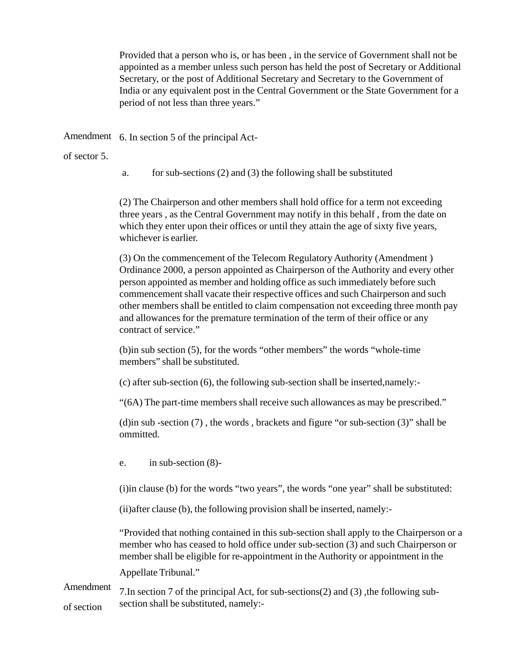Provided that a person who is, or has been , in the service of Government shall not be appointed as a member unless such person has held the post of Secretary or Additional Secretary, or the post of Additional Secretary and Secretary to the Government of India or any equivalent post in the Central Government or the State Government for a period of not less than three years."

Amendment 6. In section 5 of the principal Act-

of sector 5.

a. for sub-sections (2) and (3) the following shall be substituted

(2) The Chairperson and other members shall hold office for a term not exceeding three years , as the Central Government may notify in this behalf , from the date on which they enter upon their offices or until they attain the age of sixty five years, whichever is earlier.

(3) On the commencement of the Telecom Regulatory Authority (Amendment ) Ordinance 2000, a person appointed as Chairperson of the Authority and every other person appointed as member and holding office as such immediately before such commencement shall vacate their respective offices and such Chairperson and such other members shall be entitled to claim compensation not exceeding three month pay and allowances for the premature termination of the term of their office or any contract of service."

(b)in sub section (5), for the words "other members" the words "whole-time members" shall be substituted.

(c) after sub-section (6), the following sub-section shall be inserted,namely:-

"(6A) The part-time members shall receive such allowances as may be prescribed."

(d)in sub -section (7) , the words , brackets and figure "or sub-section (3)" shall be ommitted.

e. in sub-section (8)-

(i)in clause (b) for the words "two years", the words "one year" shall be substituted:

(ii)after clause (b), the following provision shall be inserted, namely:-

"Provided that nothing contained in this sub-section shall apply to the Chairperson or a member who has ceased to hold office under sub-section (3) and such Chairperson or member shall be eligible for re-appointment in the Authority or appointment in the

Appellate Tribunal."

7.In section 7 of the principal Act, for sub-sections(2) and (3) ,the following subsection shall be substituted, namely:- Amendment of section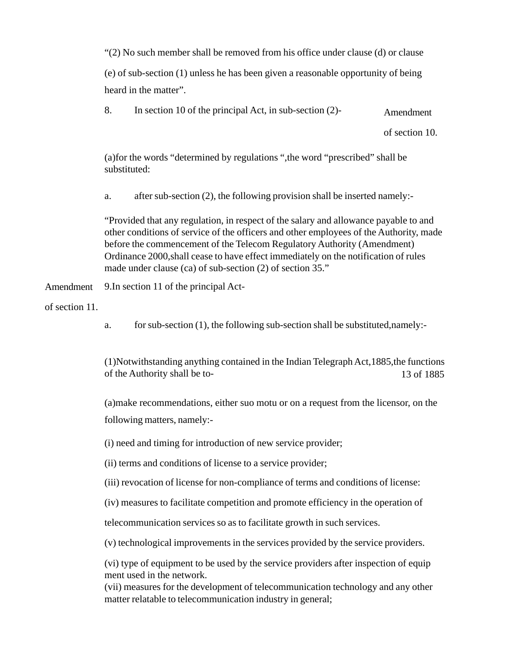"(2) No such member shall be removed from his office under clause (d) or clause

(e) of sub-section (1) unless he has been given a reasonable opportunity of being heard in the matter".

8. In section 10 of the principal Act, in sub-section  $(2)$ - Amendment

of section 10.

(a)for the words "determined by regulations ",the word "prescribed" shall be substituted:

a. after sub-section (2), the following provision shall be inserted namely:-

"Provided that any regulation, in respect of the salary and allowance payable to and other conditions of service of the officers and other employees of the Authority, made before the commencement of the Telecom Regulatory Authority (Amendment) Ordinance 2000,shall cease to have effect immediately on the notification of rules made under clause (ca) of sub-section (2) of section 35."

9.In section 11 of the principal Act-Amendment

of section 11.

a. for sub-section (1), the following sub-section shall be substituted,namely:-

(1)Notwithstanding anything contained in the Indian Telegraph Act,1885,the functions of the Authority shall be to-13 of 1885

(a)make recommendations, either suo motu or on a request from the licensor, on the following matters, namely:-

(i) need and timing for introduction of new service provider;

(ii) terms and conditions of license to a service provider;

(iii) revocation of license for non-compliance of terms and conditions of license:

(iv) measures to facilitate competition and promote efficiency in the operation of

telecommunication services so as to facilitate growth in such services.

(v) technological improvements in the services provided by the service providers.

(vi) type of equipment to be used by the service providers after inspection of equip ment used in the network.

(vii) measures for the development of telecommunication technology and any other matter relatable to telecommunication industry in general;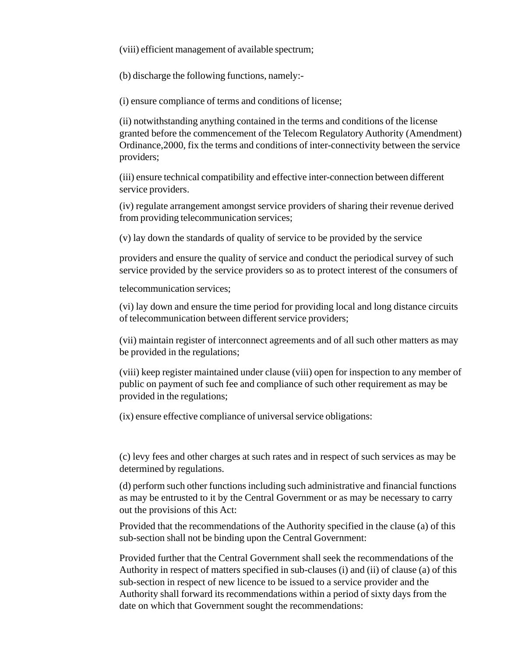(viii) efficient management of available spectrum;

(b) discharge the following functions, namely:-

(i) ensure compliance of terms and conditions of license;

(ii) notwithstanding anything contained in the terms and conditions of the license granted before the commencement of the Telecom Regulatory Authority (Amendment) Ordinance,2000, fix the terms and conditions of inter-connectivity between the service providers;

(iii) ensure technical compatibility and effective inter-connection between different service providers.

(iv) regulate arrangement amongst service providers of sharing their revenue derived from providing telecommunication services;

(v) lay down the standards of quality of service to be provided by the service

providers and ensure the quality of service and conduct the periodical survey of such service provided by the service providers so as to protect interest of the consumers of

telecommunication services;

(vi) lay down and ensure the time period for providing local and long distance circuits of telecommunication between different service providers;

(vii) maintain register of interconnect agreements and of all such other matters as may be provided in the regulations;

(viii) keep register maintained under clause (viii) open for inspection to any member of public on payment of such fee and compliance of such other requirement as may be provided in the regulations;

(ix) ensure effective compliance of universal service obligations:

(c) levy fees and other charges at such rates and in respect of such services as may be determined by regulations.

(d) perform such other functions including such administrative and financial functions as may be entrusted to it by the Central Government or as may be necessary to carry out the provisions of this Act:

Provided that the recommendations of the Authority specified in the clause (a) of this sub-section shall not be binding upon the Central Government:

Provided further that the Central Government shall seek the recommendations of the Authority in respect of matters specified in sub-clauses (i) and (ii) of clause (a) of this sub-section in respect of new licence to be issued to a service provider and the Authority shall forward its recommendations within a period of sixty days from the date on which that Government sought the recommendations: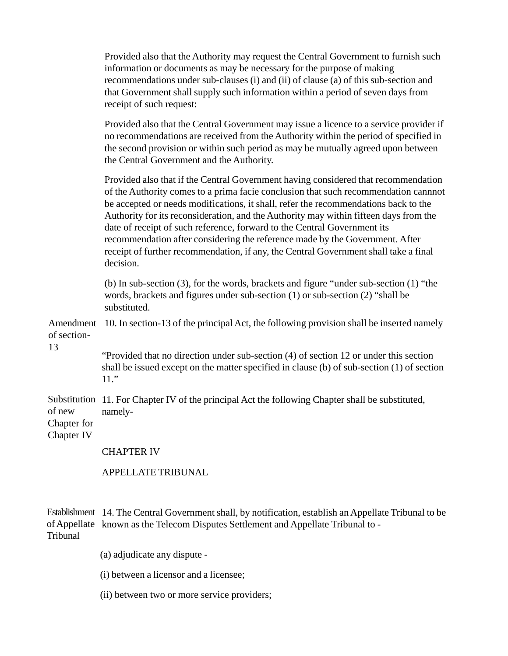Provided also that the Authority may request the Central Government to furnish such information or documents as may be necessary for the purpose of making recommendations under sub-clauses (i) and (ii) of clause (a) of this sub-section and that Government shall supply such information within a period of seven days from receipt of such request:

Provided also that the Central Government may issue a licence to a service provider if no recommendations are received from the Authority within the period of specified in the second provision or within such period as may be mutually agreed upon between the Central Government and the Authority.

Provided also that if the Central Government having considered that recommendation of the Authority comes to a prima facie conclusion that such recommendation cannnot be accepted or needs modifications, it shall, refer the recommendations back to the Authority for its reconsideration, and the Authority may within fifteen days from the date of receipt of such reference, forward to the Central Government its recommendation after considering the reference made by the Government. After receipt of further recommendation, if any, the Central Government shall take a final decision.

(b) In sub-section (3), for the words, brackets and figure "under sub-section (1) "the words, brackets and figures under sub-section (1) or sub-section (2) "shall be substituted.

Amendment 10. In section-13 of the principal Act, the following provision shall be inserted namely of section-

> "Provided that no direction under sub-section (4) of section 12 or under this section shall be issued except on the matter specified in clause (b) of sub-section (1) of section 11."

Substitution 11. For Chapter IV of the principal Act the following Chapter shall be substituted, namelyof new

Chapter for

13

Chapter IV

CHAPTER IV

APPELLATE TRIBUNAL

14. The Central Government shall, by notification, establish an Appellate Tribunal to be Establishment of Appellate known as the Telecom Disputes Settlement and Appellate Tribunal to -Tribunal

(a) adjudicate any dispute -

(i) between a licensor and a licensee;

(ii) between two or more service providers;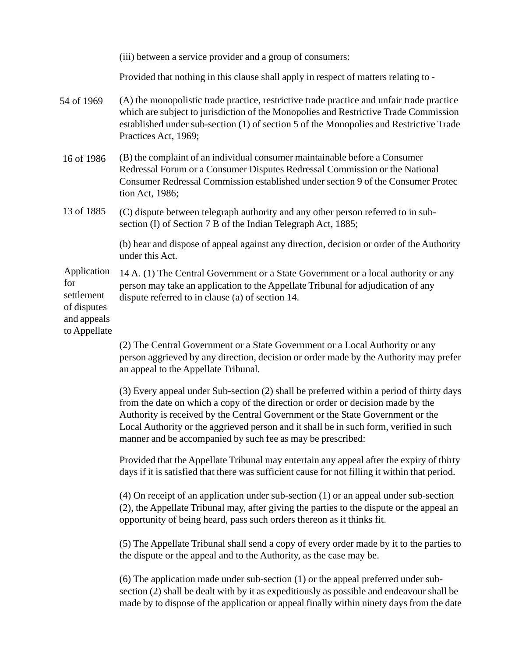|                                                                                | (iii) between a service provider and a group of consumers:                                                                                                                                                                                                                                                                                                                                                             |
|--------------------------------------------------------------------------------|------------------------------------------------------------------------------------------------------------------------------------------------------------------------------------------------------------------------------------------------------------------------------------------------------------------------------------------------------------------------------------------------------------------------|
|                                                                                | Provided that nothing in this clause shall apply in respect of matters relating to -                                                                                                                                                                                                                                                                                                                                   |
| 54 of 1969                                                                     | (A) the monopolistic trade practice, restrictive trade practice and unfair trade practice<br>which are subject to jurisdiction of the Monopolies and Restrictive Trade Commission<br>established under sub-section (1) of section 5 of the Monopolies and Restrictive Trade<br>Practices Act, 1969;                                                                                                                    |
| 16 of 1986                                                                     | (B) the complaint of an individual consumer maintainable before a Consumer<br>Redressal Forum or a Consumer Disputes Redressal Commission or the National<br>Consumer Redressal Commission established under section 9 of the Consumer Protec<br>tion Act, 1986;                                                                                                                                                       |
| 13 of 1885                                                                     | (C) dispute between telegraph authority and any other person referred to in sub-<br>section (I) of Section 7 B of the Indian Telegraph Act, 1885;                                                                                                                                                                                                                                                                      |
|                                                                                | (b) hear and dispose of appeal against any direction, decision or order of the Authority<br>under this Act.                                                                                                                                                                                                                                                                                                            |
| Application<br>for<br>settlement<br>of disputes<br>and appeals<br>to Appellate | 14 A. (1) The Central Government or a State Government or a local authority or any<br>person may take an application to the Appellate Tribunal for adjudication of any<br>dispute referred to in clause (a) of section 14.                                                                                                                                                                                             |
|                                                                                | (2) The Central Government or a State Government or a Local Authority or any<br>person aggrieved by any direction, decision or order made by the Authority may prefer<br>an appeal to the Appellate Tribunal.                                                                                                                                                                                                          |
|                                                                                | (3) Every appeal under Sub-section (2) shall be preferred within a period of thirty days<br>from the date on which a copy of the direction or order or decision made by the<br>Authority is received by the Central Government or the State Government or the<br>Local Authority or the aggrieved person and it shall be in such form, verified in such<br>manner and be accompanied by such fee as may be prescribed: |
|                                                                                | Provided that the Appellate Tribunal may entertain any appeal after the expiry of thirty<br>days if it is satisfied that there was sufficient cause for not filling it within that period.                                                                                                                                                                                                                             |
|                                                                                | $(4)$ On receipt of an application under sub-section $(1)$ or an appeal under sub-section<br>(2), the Appellate Tribunal may, after giving the parties to the dispute or the appeal an<br>opportunity of being heard, pass such orders thereon as it thinks fit.                                                                                                                                                       |
|                                                                                | (5) The Appellate Tribunal shall send a copy of every order made by it to the parties to<br>the dispute or the appeal and to the Authority, as the case may be.                                                                                                                                                                                                                                                        |
|                                                                                | $(6)$ The application made under sub-section $(1)$ or the appeal preferred under sub-<br>section (2) shall be dealt with by it as expeditiously as possible and endeavour shall be<br>made by to dispose of the application or appeal finally within ninety days from the date                                                                                                                                         |
|                                                                                |                                                                                                                                                                                                                                                                                                                                                                                                                        |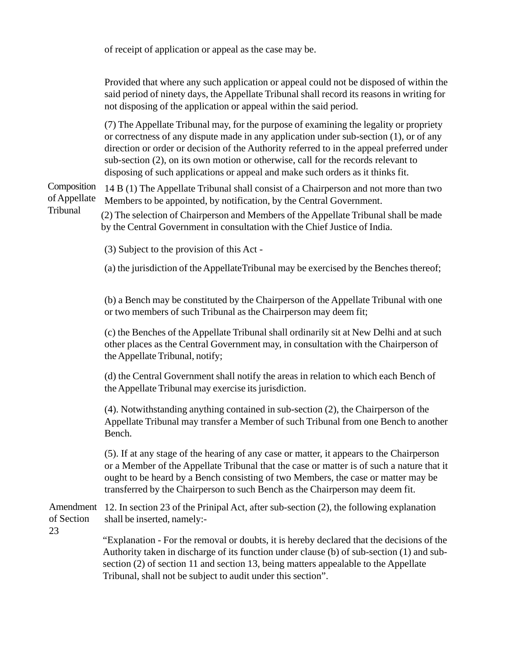of receipt of application or appeal as the case may be.

Provided that where any such application or appeal could not be disposed of within the said period of ninety days, the Appellate Tribunal shall record its reasons in writing for not disposing of the application or appeal within the said period.

(7) The Appellate Tribunal may, for the purpose of examining the legality or propriety or correctness of any dispute made in any application under sub-section (1), or of any direction or order or decision of the Authority referred to in the appeal preferred under sub-section (2), on its own motion or otherwise, call for the records relevant to disposing of such applications or appeal and make such orders as it thinks fit.

14 B (1) The Appellate Tribunal shall consist of a Chairperson and not more than two Members to be appointed, by notification, by the Central Government. Composition of Appellate

Tribunal (2) The selection of Chairperson and Members of the Appellate Tribunal shall be made by the Central Government in consultation with the Chief Justice of India.

(3) Subject to the provision of this Act -

(a) the jurisdiction of the AppellateTribunal may be exercised by the Benches thereof;

(b) a Bench may be constituted by the Chairperson of the Appellate Tribunal with one or two members of such Tribunal as the Chairperson may deem fit;

(c) the Benches of the Appellate Tribunal shall ordinarily sit at New Delhi and at such other places as the Central Government may, in consultation with the Chairperson of the Appellate Tribunal, notify;

(d) the Central Government shall notify the areas in relation to which each Bench of the Appellate Tribunal may exercise its jurisdiction.

(4). Notwithstanding anything contained in sub-section (2), the Chairperson of the Appellate Tribunal may transfer a Member of such Tribunal from one Bench to another Bench.

(5). If at any stage of the hearing of any case or matter, it appears to the Chairperson or a Member of the Appellate Tribunal that the case or matter is of such a nature that it ought to be heard by a Bench consisting of two Members, the case or matter may be transferred by the Chairperson to such Bench as the Chairperson may deem fit.

Amendment 12. In section 23 of the Prinipal Act, after sub-section (2), the following explanation shall be inserted, namely: of Section

23

"Explanation - For the removal or doubts, it is hereby declared that the decisions of the Authority taken in discharge of its function under clause (b) of sub-section (1) and subsection (2) of section 11 and section 13, being matters appealable to the Appellate Tribunal, shall not be subject to audit under this section".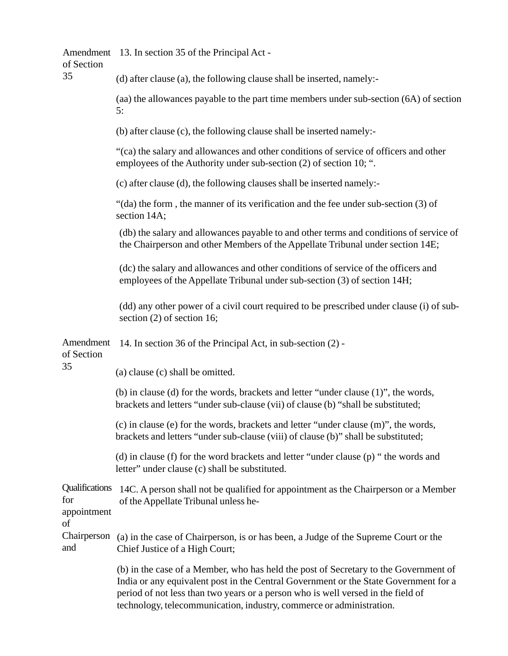| of Section                                 | Amendment 13. In section 35 of the Principal Act -                                                                                                                                                                                                                                                                                       |  |  |  |
|--------------------------------------------|------------------------------------------------------------------------------------------------------------------------------------------------------------------------------------------------------------------------------------------------------------------------------------------------------------------------------------------|--|--|--|
| 35                                         | (d) after clause (a), the following clause shall be inserted, namely:-                                                                                                                                                                                                                                                                   |  |  |  |
|                                            | (aa) the allowances payable to the part time members under sub-section (6A) of section<br>5:                                                                                                                                                                                                                                             |  |  |  |
|                                            | (b) after clause (c), the following clause shall be inserted namely:-                                                                                                                                                                                                                                                                    |  |  |  |
|                                            | "(ca) the salary and allowances and other conditions of service of officers and other<br>employees of the Authority under sub-section (2) of section 10; ".                                                                                                                                                                              |  |  |  |
|                                            | (c) after clause (d), the following clauses shall be inserted namely:-                                                                                                                                                                                                                                                                   |  |  |  |
|                                            | "(da) the form, the manner of its verification and the fee under sub-section (3) of<br>section 14A;                                                                                                                                                                                                                                      |  |  |  |
|                                            | (db) the salary and allowances payable to and other terms and conditions of service of<br>the Chairperson and other Members of the Appellate Tribunal under section 14E;                                                                                                                                                                 |  |  |  |
|                                            | (dc) the salary and allowances and other conditions of service of the officers and<br>employees of the Appellate Tribunal under sub-section (3) of section 14H;                                                                                                                                                                          |  |  |  |
|                                            | (dd) any other power of a civil court required to be prescribed under clause (i) of sub-<br>section $(2)$ of section 16;                                                                                                                                                                                                                 |  |  |  |
| Amendment<br>of Section                    | 14. In section 36 of the Principal Act, in sub-section (2) -                                                                                                                                                                                                                                                                             |  |  |  |
| 35                                         | (a) clause (c) shall be omitted.                                                                                                                                                                                                                                                                                                         |  |  |  |
|                                            | (b) in clause (d) for the words, brackets and letter "under clause (1)", the words,<br>brackets and letters "under sub-clause (vii) of clause (b) "shall be substituted;                                                                                                                                                                 |  |  |  |
|                                            | (c) in clause (e) for the words, brackets and letter "under clause (m)", the words,<br>brackets and letters "under sub-clause (viii) of clause (b)" shall be substituted;                                                                                                                                                                |  |  |  |
|                                            | (d) in clause (f) for the word brackets and letter "under clause (p) " the words and<br>letter" under clause (c) shall be substituted.                                                                                                                                                                                                   |  |  |  |
| Qualifications<br>for<br>appointment<br>of | 14C. A person shall not be qualified for appointment as the Chairperson or a Member<br>of the Appellate Tribunal unless he-                                                                                                                                                                                                              |  |  |  |
| Chairperson<br>and                         | (a) in the case of Chairperson, is or has been, a Judge of the Supreme Court or the<br>Chief Justice of a High Court;                                                                                                                                                                                                                    |  |  |  |
|                                            | (b) in the case of a Member, who has held the post of Secretary to the Government of<br>India or any equivalent post in the Central Government or the State Government for a<br>period of not less than two years or a person who is well versed in the field of<br>technology, telecommunication, industry, commerce or administration. |  |  |  |
|                                            |                                                                                                                                                                                                                                                                                                                                          |  |  |  |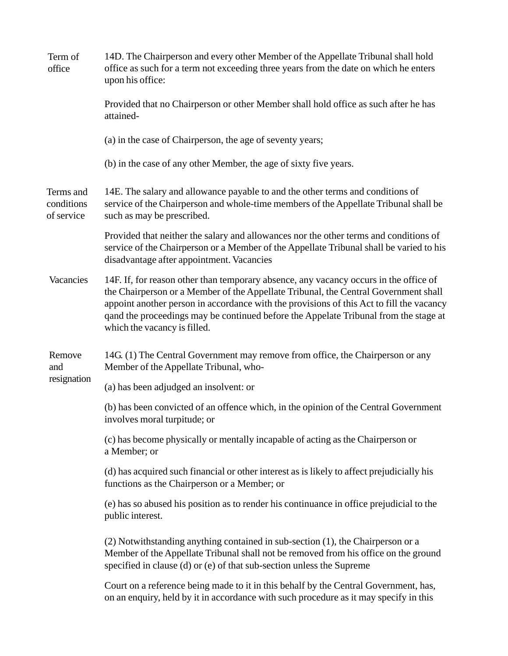| Term of<br>office                     | 14D. The Chairperson and every other Member of the Appellate Tribunal shall hold<br>office as such for a term not exceeding three years from the date on which he enters<br>upon his office:                                                                                                                                                                                                     |  |  |  |
|---------------------------------------|--------------------------------------------------------------------------------------------------------------------------------------------------------------------------------------------------------------------------------------------------------------------------------------------------------------------------------------------------------------------------------------------------|--|--|--|
|                                       | Provided that no Chairperson or other Member shall hold office as such after he has<br>attained-                                                                                                                                                                                                                                                                                                 |  |  |  |
|                                       | (a) in the case of Chairperson, the age of seventy years;                                                                                                                                                                                                                                                                                                                                        |  |  |  |
|                                       | (b) in the case of any other Member, the age of sixty five years.                                                                                                                                                                                                                                                                                                                                |  |  |  |
| Terms and<br>conditions<br>of service | 14E. The salary and allowance payable to and the other terms and conditions of<br>service of the Chairperson and whole-time members of the Appellate Tribunal shall be<br>such as may be prescribed.                                                                                                                                                                                             |  |  |  |
|                                       | Provided that neither the salary and allowances nor the other terms and conditions of<br>service of the Chairperson or a Member of the Appellate Tribunal shall be varied to his<br>disadvantage after appointment. Vacancies                                                                                                                                                                    |  |  |  |
| Vacancies                             | 14F. If, for reason other than temporary absence, any vacancy occurs in the office of<br>the Chairperson or a Member of the Appellate Tribunal, the Central Government shall<br>appoint another person in accordance with the provisions of this Act to fill the vacancy<br>qand the proceedings may be continued before the Appelate Tribunal from the stage at<br>which the vacancy is filled. |  |  |  |
| Remove<br>and                         | 14G. (1) The Central Government may remove from office, the Chairperson or any<br>Member of the Appellate Tribunal, who-                                                                                                                                                                                                                                                                         |  |  |  |
| resignation                           | (a) has been adjudged an insolvent: or                                                                                                                                                                                                                                                                                                                                                           |  |  |  |
|                                       | (b) has been convicted of an offence which, in the opinion of the Central Government<br>involves moral turpitude; or                                                                                                                                                                                                                                                                             |  |  |  |
|                                       | (c) has become physically or mentally incapable of acting as the Chairperson or<br>a Member; or                                                                                                                                                                                                                                                                                                  |  |  |  |
|                                       | (d) has acquired such financial or other interest as is likely to affect prejudicially his<br>functions as the Chairperson or a Member; or                                                                                                                                                                                                                                                       |  |  |  |
|                                       | (e) has so abused his position as to render his continuance in office prejudicial to the<br>public interest.                                                                                                                                                                                                                                                                                     |  |  |  |
|                                       | (2) Notwithstanding anything contained in sub-section (1), the Chairperson or a<br>Member of the Appellate Tribunal shall not be removed from his office on the ground<br>specified in clause (d) or (e) of that sub-section unless the Supreme                                                                                                                                                  |  |  |  |
|                                       | Court on a reference being made to it in this behalf by the Central Government, has,<br>on an enquiry, held by it in accordance with such procedure as it may specify in this                                                                                                                                                                                                                    |  |  |  |
|                                       |                                                                                                                                                                                                                                                                                                                                                                                                  |  |  |  |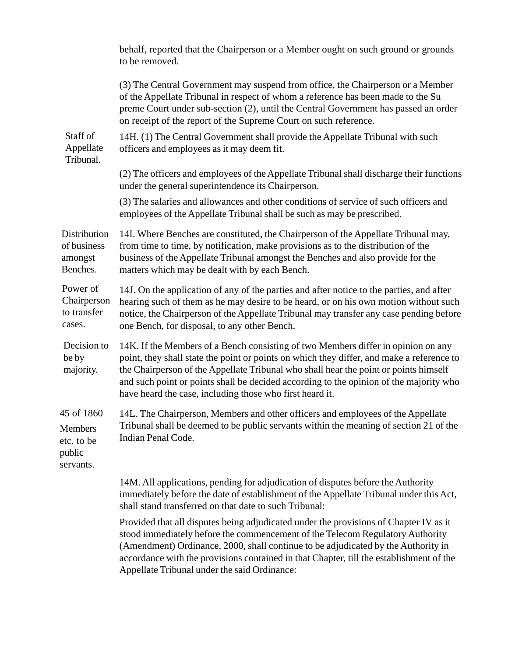|                                                                   | behalf, reported that the Chairperson or a Member ought on such ground or grounds<br>to be removed.                                                                                                                                                                                                                                                                                                                          |
|-------------------------------------------------------------------|------------------------------------------------------------------------------------------------------------------------------------------------------------------------------------------------------------------------------------------------------------------------------------------------------------------------------------------------------------------------------------------------------------------------------|
|                                                                   | (3) The Central Government may suspend from office, the Chairperson or a Member<br>of the Appellate Tribunal in respect of whom a reference has been made to the Su<br>preme Court under sub-section (2), until the Central Government has passed an order<br>on receipt of the report of the Supreme Court on such reference.                                                                                               |
| Staff of<br>Appellate<br>Tribunal.                                | 14H. (1) The Central Government shall provide the Appellate Tribunal with such<br>officers and employees as it may deem fit.                                                                                                                                                                                                                                                                                                 |
|                                                                   | (2) The officers and employees of the Appellate Tribunal shall discharge their functions<br>under the general superintendence its Chairperson.                                                                                                                                                                                                                                                                               |
|                                                                   | (3) The salaries and allowances and other conditions of service of such officers and<br>employees of the Appellate Tribunal shall be such as may be prescribed.                                                                                                                                                                                                                                                              |
| Distribution<br>of business<br>amongst<br>Benches.                | 14I. Where Benches are constituted, the Chairperson of the Appellate Tribunal may,<br>from time to time, by notification, make provisions as to the distribution of the<br>business of the Appellate Tribunal amongst the Benches and also provide for the<br>matters which may be dealt with by each Bench.                                                                                                                 |
| Power of<br>Chairperson<br>to transfer<br>cases.                  | 14J. On the application of any of the parties and after notice to the parties, and after<br>hearing such of them as he may desire to be heard, or on his own motion without such<br>notice, the Chairperson of the Appellate Tribunal may transfer any case pending before<br>one Bench, for disposal, to any other Bench.                                                                                                   |
| Decision to<br>be by<br>majority.                                 | 14K. If the Members of a Bench consisting of two Members differ in opinion on any<br>point, they shall state the point or points on which they differ, and make a reference to<br>the Chairperson of the Appellate Tribunal who shall hear the point or points himself<br>and such point or points shall be decided according to the opinion of the majority who<br>have heard the case, including those who first heard it. |
| 45 of 1860<br><b>Members</b><br>etc. to be<br>public<br>servants. | 14L. The Chairperson, Members and other officers and employees of the Appellate<br>Tribunal shall be deemed to be public servants within the meaning of section 21 of the<br>Indian Penal Code.                                                                                                                                                                                                                              |
|                                                                   | 14M. All applications, pending for adjudication of disputes before the Authority<br>immediately before the date of establishment of the Appellate Tribunal under this Act,<br>shall stand transferred on that date to such Tribunal:                                                                                                                                                                                         |
|                                                                   | Provided that all disputes being adjudicated under the provisions of Chapter IV as it<br>stood immediately before the commencement of the Telecom Regulatory Authority<br>(Amendment) Ordinance, 2000, shall continue to be adjudicated by the Authority in<br>accordance with the provisions contained in that Chapter, till the establishment of the<br>Appellate Tribunal under the said Ordinance:                       |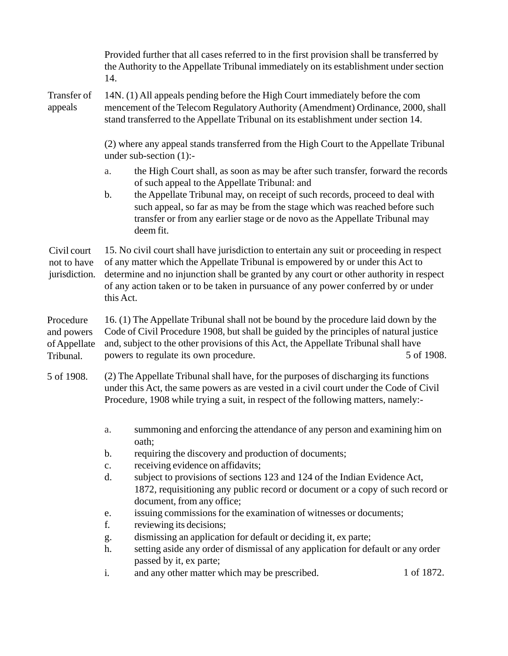|                                                      | Provided further that all cases referred to in the first provision shall be transferred by<br>the Authority to the Appellate Tribunal immediately on its establishment under section<br>14.                                                                                                                                                                                |                                                                                                                                                                                                                                                                                                         |            |  |  |
|------------------------------------------------------|----------------------------------------------------------------------------------------------------------------------------------------------------------------------------------------------------------------------------------------------------------------------------------------------------------------------------------------------------------------------------|---------------------------------------------------------------------------------------------------------------------------------------------------------------------------------------------------------------------------------------------------------------------------------------------------------|------------|--|--|
| Transfer of<br>appeals                               | 14N. (1) All appeals pending before the High Court immediately before the com<br>mencement of the Telecom Regulatory Authority (Amendment) Ordinance, 2000, shall<br>stand transferred to the Appellate Tribunal on its establishment under section 14.                                                                                                                    |                                                                                                                                                                                                                                                                                                         |            |  |  |
|                                                      | (2) where any appeal stands transferred from the High Court to the Appellate Tribunal<br>under sub-section $(1)$ :-                                                                                                                                                                                                                                                        |                                                                                                                                                                                                                                                                                                         |            |  |  |
|                                                      | a.                                                                                                                                                                                                                                                                                                                                                                         | the High Court shall, as soon as may be after such transfer, forward the records                                                                                                                                                                                                                        |            |  |  |
|                                                      | $\mathbf b$ .                                                                                                                                                                                                                                                                                                                                                              | of such appeal to the Appellate Tribunal: and<br>the Appellate Tribunal may, on receipt of such records, proceed to deal with<br>such appeal, so far as may be from the stage which was reached before such<br>transfer or from any earlier stage or de novo as the Appellate Tribunal may<br>deem fit. |            |  |  |
| Civil court<br>not to have<br>jurisdiction.          | 15. No civil court shall have jurisdiction to entertain any suit or proceeding in respect<br>of any matter which the Appellate Tribunal is empowered by or under this Act to<br>determine and no injunction shall be granted by any court or other authority in respect<br>of any action taken or to be taken in pursuance of any power conferred by or under<br>this Act. |                                                                                                                                                                                                                                                                                                         |            |  |  |
| Procedure<br>and powers<br>of Appellate<br>Tribunal. | 16. (1) The Appellate Tribunal shall not be bound by the procedure laid down by the<br>Code of Civil Procedure 1908, but shall be guided by the principles of natural justice<br>and, subject to the other provisions of this Act, the Appellate Tribunal shall have<br>powers to regulate its own procedure.<br>5 of 1908.                                                |                                                                                                                                                                                                                                                                                                         |            |  |  |
| 5 of 1908.                                           |                                                                                                                                                                                                                                                                                                                                                                            | (2) The Appellate Tribunal shall have, for the purposes of discharging its functions<br>under this Act, the same powers as are vested in a civil court under the Code of Civil<br>Procedure, 1908 while trying a suit, in respect of the following matters, namely:-                                    |            |  |  |
|                                                      | a.                                                                                                                                                                                                                                                                                                                                                                         | summoning and enforcing the attendance of any person and examining him on<br>oath;                                                                                                                                                                                                                      |            |  |  |
|                                                      | b.                                                                                                                                                                                                                                                                                                                                                                         | requiring the discovery and production of documents;                                                                                                                                                                                                                                                    |            |  |  |
|                                                      | $\mathbf{c}$ .<br>d.                                                                                                                                                                                                                                                                                                                                                       | receiving evidence on affidavits;<br>subject to provisions of sections 123 and 124 of the Indian Evidence Act,                                                                                                                                                                                          |            |  |  |
|                                                      |                                                                                                                                                                                                                                                                                                                                                                            | 1872, requisitioning any public record or document or a copy of such record or<br>document, from any office;                                                                                                                                                                                            |            |  |  |
|                                                      | e.                                                                                                                                                                                                                                                                                                                                                                         | issuing commissions for the examination of witnesses or documents;                                                                                                                                                                                                                                      |            |  |  |
|                                                      | f.<br>g.                                                                                                                                                                                                                                                                                                                                                                   | reviewing its decisions;<br>dismissing an application for default or deciding it, ex parte;                                                                                                                                                                                                             |            |  |  |
|                                                      | h.                                                                                                                                                                                                                                                                                                                                                                         | setting aside any order of dismissal of any application for default or any order                                                                                                                                                                                                                        |            |  |  |
|                                                      | i.                                                                                                                                                                                                                                                                                                                                                                         | passed by it, ex parte;<br>and any other matter which may be prescribed.                                                                                                                                                                                                                                | 1 of 1872. |  |  |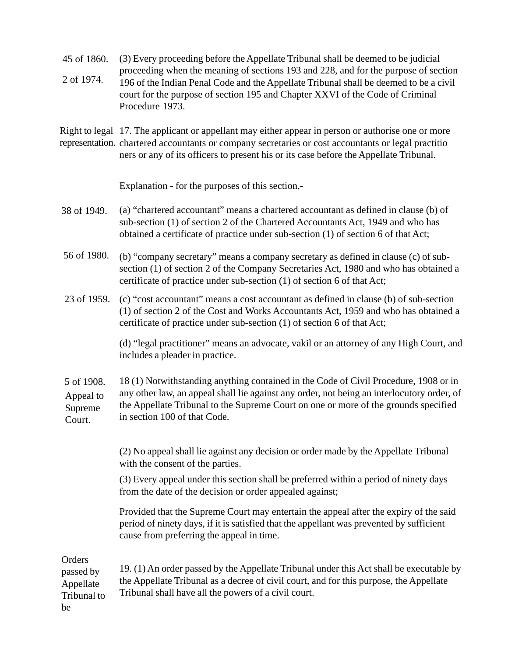(3) Every proceeding before the Appellate Tribunal shall be deemed to be judicial proceeding when the meaning of sections 193 and 228, and for the purpose of section 196 of the Indian Penal Code and the Appellate Tribunal shall be deemed to be a civil court for the purpose of section 195 and Chapter XXVI of the Code of Criminal Procedure 1973. 45 of 1860. 2 of 1974.

Right to legal 17. The applicant or appellant may either appear in person or authorise one or more representation. chartered accountants or company secretaries or cost accountants or legal practitio ners or any of its officers to present his or its case before the Appellate Tribunal.

Explanation - for the purposes of this section,-

- (a) "chartered accountant" means a chartered accountant as defined in clause (b) of sub-section (1) of section 2 of the Chartered Accountants Act, 1949 and who has obtained a certificate of practice under sub-section (1) of section 6 of that Act; 38 of 1949.
- (b) "company secretary" means a company secretary as defined in clause (c) of subsection (1) of section 2 of the Company Secretaries Act, 1980 and who has obtained a certificate of practice under sub-section (1) of section 6 of that Act; 56 of 1980.
- 23 of 1959. (c) "cost accountant" means a cost accountant as defined in clause (b) of sub-section (1) of section 2 of the Cost and Works Accountants Act, 1959 and who has obtained a certificate of practice under sub-section (1) of section 6 of that Act;

(d) "legal practitioner" means an advocate, vakil or an attorney of any High Court, and includes a pleader in practice.

18 (1) Notwithstanding anything contained in the Code of Civil Procedure, 1908 or in any other law, an appeal shall lie against any order, not being an interlocutory order, of the Appellate Tribunal to the Supreme Court on one or more of the grounds specified in section 100 of that Code. 5 of 1908. Appeal to Supreme Court.

> (2) No appeal shall lie against any decision or order made by the Appellate Tribunal with the consent of the parties.

> (3) Every appeal under this section shall be preferred within a period of ninety days from the date of the decision or order appealed against;

Provided that the Supreme Court may entertain the appeal after the expiry of the said period of ninety days, if it is satisfied that the appellant was prevented by sufficient cause from preferring the appeal in time.

**Orders** 

19. (1) An order passed by the Appellate Tribunal under this Act shall be executable by the Appellate Tribunal as a decree of civil court, and for this purpose, the Appellate Tribunal shall have all the powers of a civil court. passed by Appellate Tribunal to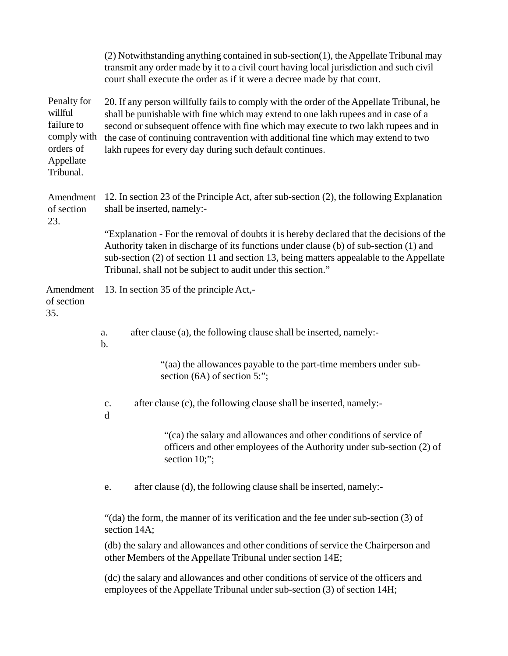|                                                                                                                                                                                                                                                                                                                                              |                                                                                                                                                                                                                                                                                                                                                                                                                       | (2) Notwithstanding anything contained in sub-section(1), the Appellate Tribunal may<br>transmit any order made by it to a civil court having local jurisdiction and such civil<br>court shall execute the order as if it were a decree made by that court. |  |  |  |
|----------------------------------------------------------------------------------------------------------------------------------------------------------------------------------------------------------------------------------------------------------------------------------------------------------------------------------------------|-----------------------------------------------------------------------------------------------------------------------------------------------------------------------------------------------------------------------------------------------------------------------------------------------------------------------------------------------------------------------------------------------------------------------|-------------------------------------------------------------------------------------------------------------------------------------------------------------------------------------------------------------------------------------------------------------|--|--|--|
| Penalty for<br>willful<br>failure to<br>comply with<br>orders of<br>Appellate<br>Tribunal.                                                                                                                                                                                                                                                   | 20. If any person willfully fails to comply with the order of the Appellate Tribunal, he<br>shall be punishable with fine which may extend to one lakh rupees and in case of a<br>second or subsequent offence with fine which may execute to two lakh rupees and in<br>the case of continuing contravention with additional fine which may extend to two<br>lakh rupees for every day during such default continues. |                                                                                                                                                                                                                                                             |  |  |  |
| Amendment<br>of section<br>23.                                                                                                                                                                                                                                                                                                               | 12. In section 23 of the Principle Act, after sub-section (2), the following Explanation<br>shall be inserted, namely:-                                                                                                                                                                                                                                                                                               |                                                                                                                                                                                                                                                             |  |  |  |
| "Explanation - For the removal of doubts it is hereby declared that the decisions of the<br>Authority taken in discharge of its functions under clause (b) of sub-section (1) and<br>sub-section (2) of section 11 and section 13, being matters appealable to the Appellate<br>Tribunal, shall not be subject to audit under this section." |                                                                                                                                                                                                                                                                                                                                                                                                                       |                                                                                                                                                                                                                                                             |  |  |  |
| Amendment<br>of section<br>35.                                                                                                                                                                                                                                                                                                               | 13. In section 35 of the principle Act,-                                                                                                                                                                                                                                                                                                                                                                              |                                                                                                                                                                                                                                                             |  |  |  |
|                                                                                                                                                                                                                                                                                                                                              | a.<br>b.                                                                                                                                                                                                                                                                                                                                                                                                              | after clause (a), the following clause shall be inserted, namely:-                                                                                                                                                                                          |  |  |  |
|                                                                                                                                                                                                                                                                                                                                              |                                                                                                                                                                                                                                                                                                                                                                                                                       | "(aa) the allowances payable to the part-time members under sub-<br>section $(6A)$ of section 5:";                                                                                                                                                          |  |  |  |
|                                                                                                                                                                                                                                                                                                                                              | $\mathbf{C}$ .<br>d                                                                                                                                                                                                                                                                                                                                                                                                   | after clause (c), the following clause shall be inserted, namely:-                                                                                                                                                                                          |  |  |  |
|                                                                                                                                                                                                                                                                                                                                              |                                                                                                                                                                                                                                                                                                                                                                                                                       | "(ca) the salary and allowances and other conditions of service of<br>officers and other employees of the Authority under sub-section (2) of<br>section 10;";                                                                                               |  |  |  |
|                                                                                                                                                                                                                                                                                                                                              | e.                                                                                                                                                                                                                                                                                                                                                                                                                    | after clause (d), the following clause shall be inserted, namely:-                                                                                                                                                                                          |  |  |  |
|                                                                                                                                                                                                                                                                                                                                              | section 14A;                                                                                                                                                                                                                                                                                                                                                                                                          | "(da) the form, the manner of its verification and the fee under sub-section (3) of                                                                                                                                                                         |  |  |  |
|                                                                                                                                                                                                                                                                                                                                              |                                                                                                                                                                                                                                                                                                                                                                                                                       | (db) the salary and allowances and other conditions of service the Chairperson and<br>other Members of the Appellate Tribunal under section 14E;                                                                                                            |  |  |  |
|                                                                                                                                                                                                                                                                                                                                              |                                                                                                                                                                                                                                                                                                                                                                                                                       | (dc) the salary and allowances and other conditions of service of the officers and<br>employees of the Appellate Tribunal under sub-section (3) of section 14H;                                                                                             |  |  |  |